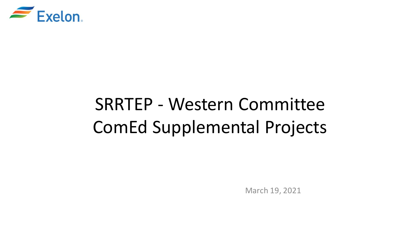

# SRRTEP - Western Committee ComEd Supplemental Projects

March 19, 2021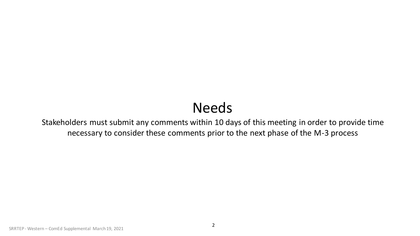# Needs

Stakeholders must submit any comments within 10 days of this meeting in order to provide time necessary to consider these comments prior to the next phase of the M-3 process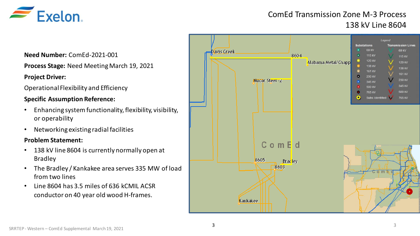

## ComEd Transmission Zone M-3 Process 138 kV Line 8604

**Need Number:** ComEd-2021-001

**Process Stage:** Need Meeting March 19, 2021

#### **Project Driver:**

Operational Flexibility and Efficiency

#### **Specific Assumption Reference:**

- Enhancing system functionality, flexibility, visibility, or operability
- Networking existing radial facilities

#### **Problem Statement:**

- 138 kV line 8604 is currently normally open at Bradley
- The Bradley / Kankakee area serves 335 MW of load from two lines
- Line 8604 has 3.5 miles of 636 kCMIL ACSR conductor on 40 year old wood H-frames.

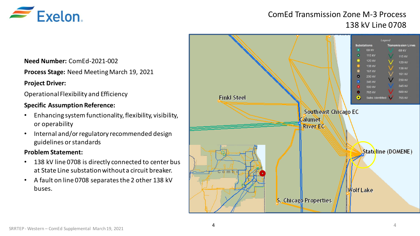

### ComEd Transmission Zone M-3 Process 138 kV Line 0708

**Need Number:** ComEd-2021-002

**Process Stage:** Need Meeting March 19, 2021

#### **Project Driver:**

Operational Flexibility and Efficiency

#### **Specific Assumption Reference:**

- Enhancing system functionality, flexibility, visibility, or operability
- Internal and/or regulatory recommended design guidelines or standards

#### **Problem Statement:**

- 138 kV line 0708 is directly connected to center bus at State Line substation without a circuit breaker.
- A fault on line 0708 separates the 2 other 138 kV buses.

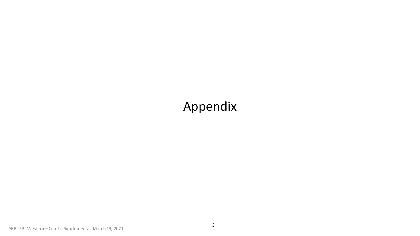# Appendix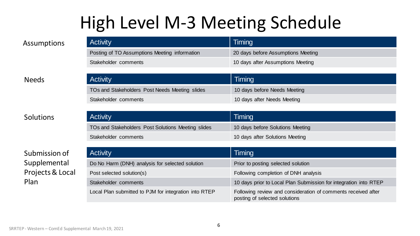# High Level M-3 Meeting Schedule

| <b>Activity</b>                               | Timing                             |
|-----------------------------------------------|------------------------------------|
| Posting of TO Assumptions Meeting information | 20 days before Assumptions Meeting |
| Stakeholder comments                          | 10 days after Assumptions Meeting  |

#### Needs

### Solutions

### Submission of Supplemental Projects & Local Plan

| <b>Activity</b>                                | Timing                       |
|------------------------------------------------|------------------------------|
| TOs and Stakeholders Post Needs Meeting slides | 10 days before Needs Meeting |
| Stakeholder comments                           | 10 days after Needs Meeting  |
|                                                |                              |

| <b>Activity</b>                                    | Timing                           |
|----------------------------------------------------|----------------------------------|
| TOs and Stakeholders Post Solutions Meeting slides | 10 days before Solutions Meeting |
| Stakeholder comments                               | 10 days after Solutions Meeting  |

| <b>Activity</b>                                       | Timing                                                                                         |
|-------------------------------------------------------|------------------------------------------------------------------------------------------------|
| Do No Harm (DNH) analysis for selected solution       | Prior to posting selected solution                                                             |
| Post selected solution(s)                             | Following completion of DNH analysis                                                           |
| Stakeholder comments                                  | 10 days prior to Local Plan Submission for integration into RTEP                               |
| Local Plan submitted to PJM for integration into RTEP | Following review and consideration of comments received after<br>posting of selected solutions |